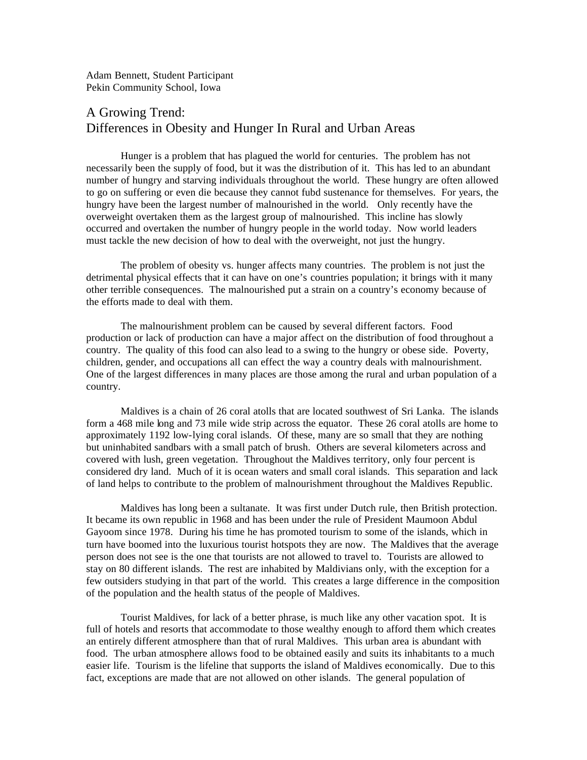Adam Bennett, Student Participant Pekin Community School, Iowa

## A Growing Trend: Differences in Obesity and Hunger In Rural and Urban Areas

Hunger is a problem that has plagued the world for centuries. The problem has not necessarily been the supply of food, but it was the distribution of it. This has led to an abundant number of hungry and starving individuals throughout the world. These hungry are often allowed to go on suffering or even die because they cannot fubd sustenance for themselves. For years, the hungry have been the largest number of malnourished in the world. Only recently have the overweight overtaken them as the largest group of malnourished. This incline has slowly occurred and overtaken the number of hungry people in the world today. Now world leaders must tackle the new decision of how to deal with the overweight, not just the hungry.

The problem of obesity vs. hunger affects many countries. The problem is not just the detrimental physical effects that it can have on one's countries population; it brings with it many other terrible consequences. The malnourished put a strain on a country's economy because of the efforts made to deal with them.

The malnourishment problem can be caused by several different factors. Food production or lack of production can have a major affect on the distribution of food throughout a country. The quality of this food can also lead to a swing to the hungry or obese side. Poverty, children, gender, and occupations all can effect the way a country deals with malnourishment. One of the largest differences in many places are those among the rural and urban population of a country.

Maldives is a chain of 26 coral atolls that are located southwest of Sri Lanka. The islands form a 468 mile long and 73 mile wide strip across the equator. These 26 coral atolls are home to approximately 1192 low-lying coral islands. Of these, many are so small that they are nothing but uninhabited sandbars with a small patch of brush. Others are several kilometers across and covered with lush, green vegetation. Throughout the Maldives territory, only four percent is considered dry land. Much of it is ocean waters and small coral islands. This separation and lack of land helps to contribute to the problem of malnourishment throughout the Maldives Republic.

Maldives has long been a sultanate. It was first under Dutch rule, then British protection. It became its own republic in 1968 and has been under the rule of President Maumoon Abdul Gayoom since 1978. During his time he has promoted tourism to some of the islands, which in turn have boomed into the luxurious tourist hotspots they are now. The Maldives that the average person does not see is the one that tourists are not allowed to travel to. Tourists are allowed to stay on 80 different islands. The rest are inhabited by Maldivians only, with the exception for a few outsiders studying in that part of the world. This creates a large difference in the composition of the population and the health status of the people of Maldives.

Tourist Maldives, for lack of a better phrase, is much like any other vacation spot. It is full of hotels and resorts that accommodate to those wealthy enough to afford them which creates an entirely different atmosphere than that of rural Maldives. This urban area is abundant with food. The urban atmosphere allows food to be obtained easily and suits its inhabitants to a much easier life. Tourism is the lifeline that supports the island of Maldives economically. Due to this fact, exceptions are made that are not allowed on other islands. The general population of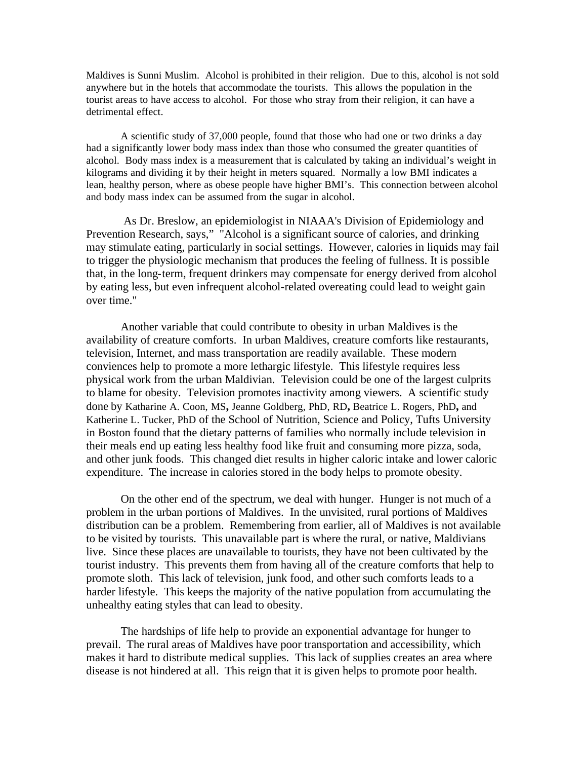Maldives is Sunni Muslim. Alcohol is prohibited in their religion. Due to this, alcohol is not sold anywhere but in the hotels that accommodate the tourists. This allows the population in the tourist areas to have access to alcohol. For those who stray from their religion, it can have a detrimental effect.

A scientific study of 37,000 people, found that those who had one or two drinks a day had a significantly lower body mass index than those who consumed the greater quantities of alcohol. Body mass index is a measurement that is calculated by taking an individual's weight in kilograms and dividing it by their height in meters squared. Normally a low BMI indicates a lean, healthy person, where as obese people have higher BMI's. This connection between alcohol and body mass index can be assumed from the sugar in alcohol.

 As Dr. Breslow, an epidemiologist in NIAAA's Division of Epidemiology and Prevention Research, says," "Alcohol is a significant source of calories, and drinking may stimulate eating, particularly in social settings. However, calories in liquids may fail to trigger the physiologic mechanism that produces the feeling of fullness. It is possible that, in the long-term, frequent drinkers may compensate for energy derived from alcohol by eating less, but even infrequent alcohol-related overeating could lead to weight gain over time."

Another variable that could contribute to obesity in urban Maldives is the availability of creature comforts. In urban Maldives, creature comforts like restaurants, television, Internet, and mass transportation are readily available. These modern conviences help to promote a more lethargic lifestyle. This lifestyle requires less physical work from the urban Maldivian. Television could be one of the largest culprits to blame for obesity. Television promotes inactivity among viewers. A scientific study done by Katharine A. Coon, MS**,** Jeanne Goldberg, PhD, RD**,** Beatrice L. Rogers, PhD**,** and Katherine L. Tucker, PhD of the School of Nutrition, Science and Policy, Tufts University in Boston found that the dietary patterns of families who normally include television in their meals end up eating less healthy food like fruit and consuming more pizza, soda, and other junk foods. This changed diet results in higher caloric intake and lower caloric expenditure. The increase in calories stored in the body helps to promote obesity.

On the other end of the spectrum, we deal with hunger. Hunger is not much of a problem in the urban portions of Maldives. In the unvisited, rural portions of Maldives distribution can be a problem. Remembering from earlier, all of Maldives is not available to be visited by tourists. This unavailable part is where the rural, or native, Maldivians live. Since these places are unavailable to tourists, they have not been cultivated by the tourist industry. This prevents them from having all of the creature comforts that help to promote sloth. This lack of television, junk food, and other such comforts leads to a harder lifestyle. This keeps the majority of the native population from accumulating the unhealthy eating styles that can lead to obesity.

The hardships of life help to provide an exponential advantage for hunger to prevail. The rural areas of Maldives have poor transportation and accessibility, which makes it hard to distribute medical supplies. This lack of supplies creates an area where disease is not hindered at all. This reign that it is given helps to promote poor health.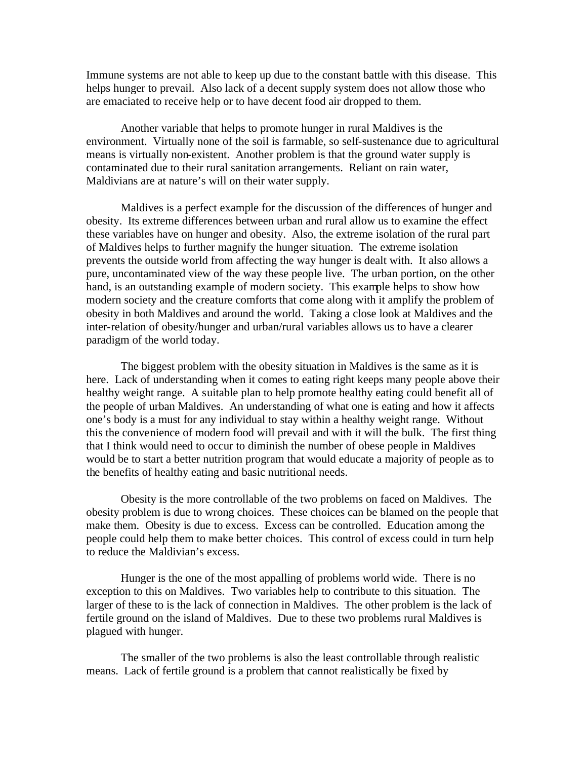Immune systems are not able to keep up due to the constant battle with this disease. This helps hunger to prevail. Also lack of a decent supply system does not allow those who are emaciated to receive help or to have decent food air dropped to them.

Another variable that helps to promote hunger in rural Maldives is the environment. Virtually none of the soil is farmable, so self-sustenance due to agricultural means is virtually non-existent. Another problem is that the ground water supply is contaminated due to their rural sanitation arrangements. Reliant on rain water, Maldivians are at nature's will on their water supply.

Maldives is a perfect example for the discussion of the differences of hunger and obesity. Its extreme differences between urban and rural allow us to examine the effect these variables have on hunger and obesity. Also, the extreme isolation of the rural part of Maldives helps to further magnify the hunger situation. The extreme isolation prevents the outside world from affecting the way hunger is dealt with. It also allows a pure, uncontaminated view of the way these people live. The urban portion, on the other hand, is an outstanding example of modern society. This example helps to show how modern society and the creature comforts that come along with it amplify the problem of obesity in both Maldives and around the world. Taking a close look at Maldives and the inter-relation of obesity/hunger and urban/rural variables allows us to have a clearer paradigm of the world today.

The biggest problem with the obesity situation in Maldives is the same as it is here. Lack of understanding when it comes to eating right keeps many people above their healthy weight range. A suitable plan to help promote healthy eating could benefit all of the people of urban Maldives. An understanding of what one is eating and how it affects one's body is a must for any individual to stay within a healthy weight range. Without this the convenience of modern food will prevail and with it will the bulk. The first thing that I think would need to occur to diminish the number of obese people in Maldives would be to start a better nutrition program that would educate a majority of people as to the benefits of healthy eating and basic nutritional needs.

Obesity is the more controllable of the two problems on faced on Maldives. The obesity problem is due to wrong choices. These choices can be blamed on the people that make them. Obesity is due to excess. Excess can be controlled. Education among the people could help them to make better choices. This control of excess could in turn help to reduce the Maldivian's excess.

Hunger is the one of the most appalling of problems world wide. There is no exception to this on Maldives. Two variables help to contribute to this situation. The larger of these to is the lack of connection in Maldives. The other problem is the lack of fertile ground on the island of Maldives. Due to these two problems rural Maldives is plagued with hunger.

The smaller of the two problems is also the least controllable through realistic means. Lack of fertile ground is a problem that cannot realistically be fixed by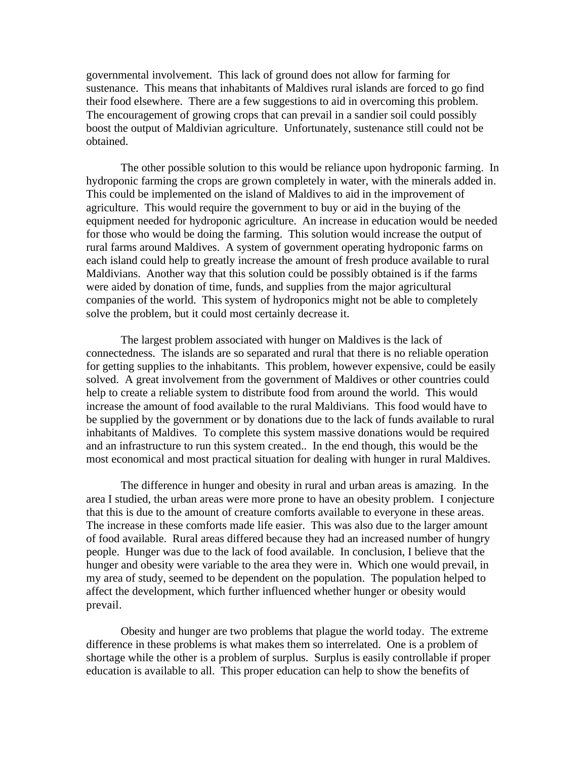governmental involvement. This lack of ground does not allow for farming for sustenance. This means that inhabitants of Maldives rural islands are forced to go find their food elsewhere. There are a few suggestions to aid in overcoming this problem. The encouragement of growing crops that can prevail in a sandier soil could possibly boost the output of Maldivian agriculture. Unfortunately, sustenance still could not be obtained.

The other possible solution to this would be reliance upon hydroponic farming. In hydroponic farming the crops are grown completely in water, with the minerals added in. This could be implemented on the island of Maldives to aid in the improvement of agriculture. This would require the government to buy or aid in the buying of the equipment needed for hydroponic agriculture. An increase in education would be needed for those who would be doing the farming. This solution would increase the output of rural farms around Maldives. A system of government operating hydroponic farms on each island could help to greatly increase the amount of fresh produce available to rural Maldivians. Another way that this solution could be possibly obtained is if the farms were aided by donation of time, funds, and supplies from the major agricultural companies of the world. This system of hydroponics might not be able to completely solve the problem, but it could most certainly decrease it.

The largest problem associated with hunger on Maldives is the lack of connectedness. The islands are so separated and rural that there is no reliable operation for getting supplies to the inhabitants. This problem, however expensive, could be easily solved. A great involvement from the government of Maldives or other countries could help to create a reliable system to distribute food from around the world. This would increase the amount of food available to the rural Maldivians. This food would have to be supplied by the government or by donations due to the lack of funds available to rural inhabitants of Maldives. To complete this system massive donations would be required and an infrastructure to run this system created.. In the end though, this would be the most economical and most practical situation for dealing with hunger in rural Maldives.

The difference in hunger and obesity in rural and urban areas is amazing. In the area I studied, the urban areas were more prone to have an obesity problem. I conjecture that this is due to the amount of creature comforts available to everyone in these areas. The increase in these comforts made life easier. This was also due to the larger amount of food available. Rural areas differed because they had an increased number of hungry people. Hunger was due to the lack of food available. In conclusion, I believe that the hunger and obesity were variable to the area they were in. Which one would prevail, in my area of study, seemed to be dependent on the population. The population helped to affect the development, which further influenced whether hunger or obesity would prevail.

Obesity and hunger are two problems that plague the world today. The extreme difference in these problems is what makes them so interrelated. One is a problem of shortage while the other is a problem of surplus. Surplus is easily controllable if proper education is available to all. This proper education can help to show the benefits of